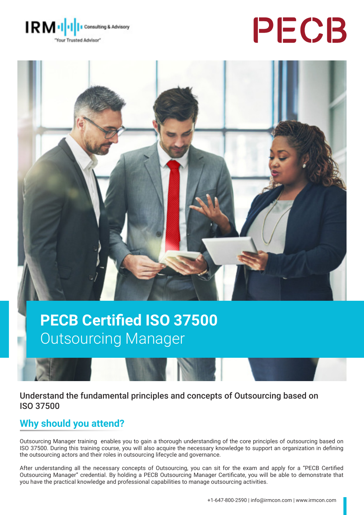

# PECB



## **PECB Certified ISO 37500** Outsourcing Manager

#### Understand the fundamental principles and concepts of Outsourcing based on ISO 37500

## **Why should you attend?**

Outsourcing Manager training enables you to gain a thorough understanding of the core principles of outsourcing based on ISO 37500. During this training course, you will also acquire the necessary knowledge to support an organization in defining the outsourcing actors and their roles in outsourcing lifecycle and governance.

After understanding all the necessary concepts of Outsourcing, you can sit for the exam and apply for a "PECB Certified Outsourcing Manager" credential. By holding a PECB Outsourcing Manager Certificate, you will be able to demonstrate that you have the practical knowledge and professional capabilities to manage outsourcing activities.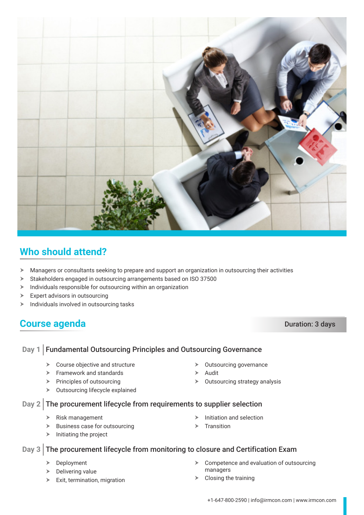

## **Who should attend?**

- h Managers or consultants seeking to prepare and support an organization in outsourcing their activities
- $\blacktriangleright$  Stakeholders engaged in outsourcing arrangements based on ISO 37500
- $\blacktriangleright$  Individuals responsible for outsourcing within an organization
- $\blacktriangleright$  Expert advisors in outsourcing
- $\blacktriangleright$  Individuals involved in outsourcing tasks

### **Course agenda** Duration: 3 days

#### Day 1 Fundamental Outsourcing Principles and Outsourcing Governance

- $\triangleright$  Course objective and structure
- $\blacktriangleright$  Framework and standards
- $\triangleright$  Principles of outsourcing
- $\triangleright$  Outsourcing lifecycle explained
- $\blacktriangleright$  Outsourcing governance
- h Audit
- $\triangleright$  Outsourcing strategy analysis

#### Day 2 The procurement lifecycle from requirements to supplier selection

- $\triangleright$  Risk management
- $\blacktriangleright$  Business case for outsourcing
- $\blacktriangleright$  Initiating the project

#### $\triangleright$  Initiation and selection

Transition

#### Day 3 The procurement lifecycle from monitoring to closure and Certification Exam

- $\triangleright$  Deployment
- $\triangleright$  Delivering value
- $\blacktriangleright$  Exit, termination, migration
- $\triangleright$  Competence and evaluation of outsourcing managers
- $\triangleright$  Closing the training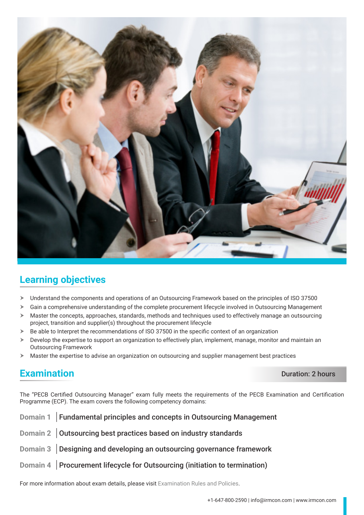

## **Learning objectives**

- > Understand the components and operations of an Outsourcing Framework based on the principles of ISO 37500
- $\triangleright$  Gain a comprehensive understanding of the complete procurement lifecycle involved in Outsourcing Management
- $\triangleright$  Master the concepts, approaches, standards, methods and techniques used to effectively manage an outsourcing project, transition and supplier(s) throughout the procurement lifecycle
- $\triangleright$  Be able to Interpret the recommendations of ISO 37500 in the specific context of an organization
- $\triangleright$  Develop the expertise to support an organization to effectively plan, implement, manage, monitor and maintain an Outsourcing Framework
- $\triangleright$  Master the expertise to advise an organization on outsourcing and supplier management best practices

#### **Examination** Duration: 2 hours

The "PECB Certified Outsourcing Manager" exam fully meets the requirements of the PECB Examination and Certification Programme (ECP). The exam covers the following competency domains:

| Domain 1 Fundamental principles and concepts in Outsourcing Management       |
|------------------------------------------------------------------------------|
| Domain 2 Outsourcing best practices based on industry standards              |
| Domain 3 Designing and developing an outsourcing governance framework        |
| Domain $4$ Procurement lifecycle for Outsourcing (initiation to termination) |

For more information about exam details, please visit [Examination Rules and Policies](https://pecb.com/en/examination-rules-and-policies).